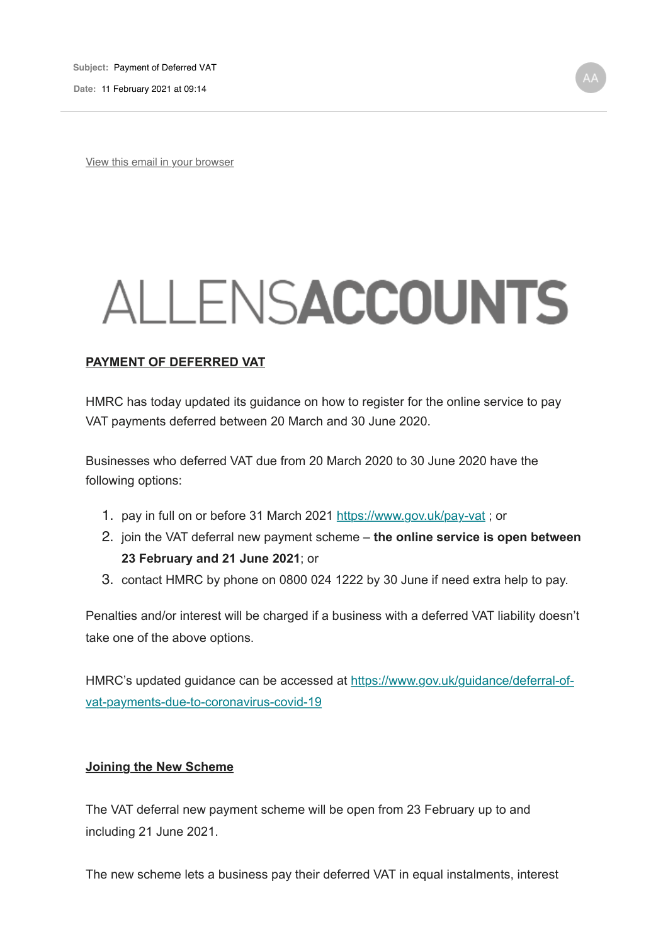**Date:** 11 February 2021 at 09:14

View this email in your browser

# ALLENSACCOUNTS

### **PAYMENT OF DEFERRED VAT**

HMRC has today updated its guidance on how to register for the online service to pay VAT payments deferred between 20 March and 30 June 2020.

Businesses who deferred VAT due from 20 March 2020 to 30 June 2020 have the following options:

- 1. pay in full on or before 31 March 2021 https://www.gov.uk/pay-vat; or
- 2. join the VAT deferral new payment scheme **the online service is open between 23 February and 21 June 2021**; or
- 3. contact HMRC by phone on 0800 024 1222 by 30 June if need extra help to pay.

Penalties and/or interest will be charged if a business with a deferred VAT liability doesn't take one of the above options.

HMRC's updated guidance can be accessed at https://www.gov.uk/guidance/deferral-ofvat-payments-due-to-coronavirus-covid-19

#### **Joining the New Scheme**

The VAT deferral new payment scheme will be open from 23 February up to and including 21 June 2021.

The new scheme lets a business pay their deferred VAT in equal instalments, interest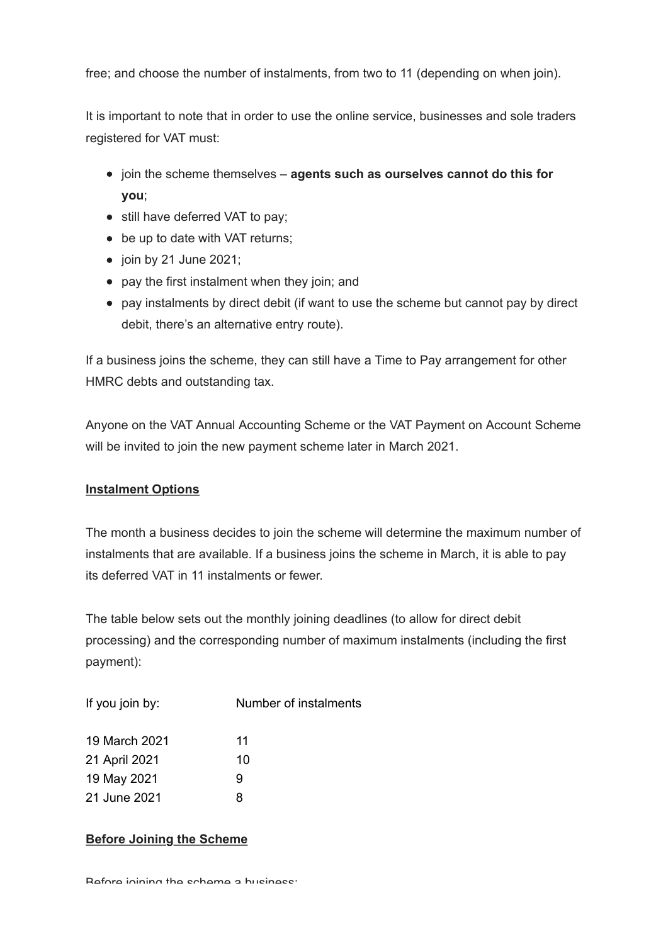free; and choose the number of instalments, from two to 11 (depending on when join).

It is important to note that in order to use the online service, businesses and sole traders registered for VAT must:

- join the scheme themselves **agents such as ourselves cannot do this for you**;
- still have deferred VAT to pay;
- be up to date with VAT returns;
- $\bullet$  join by 21 June 2021;
- pay the first instalment when they join; and
- pay instalments by direct debit (if want to use the scheme but cannot pay by direct debit, there's an alternative entry route).

If a business joins the scheme, they can still have a Time to Pay arrangement for other HMRC debts and outstanding tax.

Anyone on the VAT Annual Accounting Scheme or the VAT Payment on Account Scheme will be invited to join the new payment scheme later in March 2021.

## **Instalment Options**

The month a business decides to join the scheme will determine the maximum number of instalments that are available. If a business joins the scheme in March, it is able to pay its deferred VAT in 11 instalments or fewer.

The table below sets out the monthly joining deadlines (to allow for direct debit processing) and the corresponding number of maximum instalments (including the first payment):

| If you join by: | Number of instalments |
|-----------------|-----------------------|
| 19 March 2021   | 11                    |
| 21 April 2021   | 10                    |
| 19 May 2021     | 9                     |
| 21 June 2021    | 8                     |

## **Before Joining the Scheme**

Before joining the scheme a business: